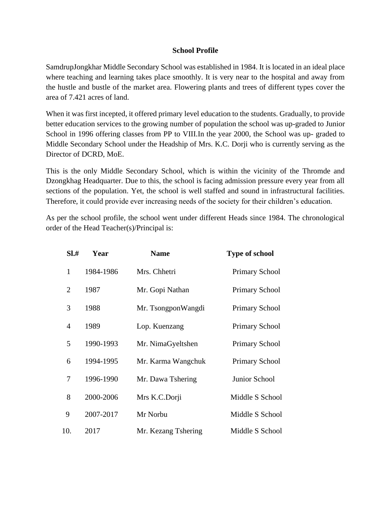### **School Profile**

SamdrupJongkhar Middle Secondary School was established in 1984. It is located in an ideal place where teaching and learning takes place smoothly. It is very near to the hospital and away from the hustle and bustle of the market area. Flowering plants and trees of different types cover the area of 7.421 acres of land.

When it was first incepted, it offered primary level education to the students. Gradually, to provide better education services to the growing number of population the school was up-graded to Junior School in 1996 offering classes from PP to VIII.In the year 2000, the School was up- graded to Middle Secondary School under the Headship of Mrs. K.C. Dorji who is currently serving as the Director of DCRD, MoE.

This is the only Middle Secondary School, which is within the vicinity of the Thromde and Dzongkhag Headquarter. Due to this, the school is facing admission pressure every year from all sections of the population. Yet, the school is well staffed and sound in infrastructural facilities. Therefore, it could provide ever increasing needs of the society for their children's education.

As per the school profile, the school went under different Heads since 1984. The chronological order of the Head Teacher(s)/Principal is:

| SL#            | Year      | <b>Name</b>         | <b>Type of school</b> |
|----------------|-----------|---------------------|-----------------------|
| $\mathbf{1}$   | 1984-1986 | Mrs. Chhetri        | Primary School        |
| $\overline{2}$ | 1987      | Mr. Gopi Nathan     | Primary School        |
| 3              | 1988      | Mr. TsongponWangdi  | <b>Primary School</b> |
| 4              | 1989      | Lop. Kuenzang       | <b>Primary School</b> |
| 5              | 1990-1993 | Mr. NimaGyeltshen   | Primary School        |
| 6              | 1994-1995 | Mr. Karma Wangchuk  | <b>Primary School</b> |
| 7              | 1996-1990 | Mr. Dawa Tshering   | Junior School         |
| 8              | 2000-2006 | Mrs K.C.Dorji       | Middle S School       |
| 9              | 2007-2017 | Mr Norbu            | Middle S School       |
| 10.            | 2017      | Mr. Kezang Tshering | Middle S School       |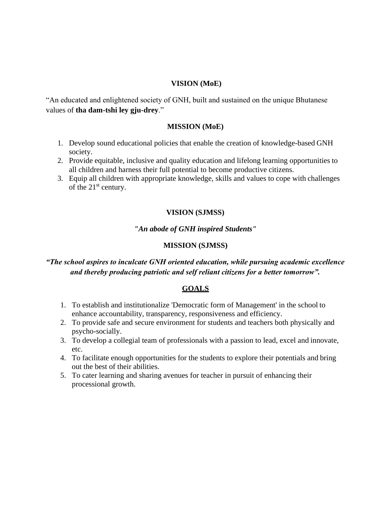### **VISION (MoE)**

"An educated and enlightened society of GNH, built and sustained on the unique Bhutanese values of **tha dam-tshi ley gju-drey**."

### **MISSION (MoE)**

- 1. Develop sound educational policies that enable the creation of knowledge-based GNH society.
- 2. Provide equitable, inclusive and quality education and lifelong learning opportunities to all children and harness their full potential to become productive citizens.
- 3. Equip all children with appropriate knowledge, skills and values to cope with challenges of the 21<sup>st</sup> century.

### **VISION (SJMSS)**

### *"An abode of GNH inspired Students"*

### **MISSION (SJMSS)**

# *"The school aspires to inculcate GNH oriented education, while pursuing academic excellence and thereby producing patriotic and self reliant citizens for a better tomorrow".*

### **GOALS**

- 1. To establish and institutionalize 'Democratic form of Management' in the school to enhance accountability, transparency, responsiveness and efficiency.
- 2. To provide safe and secure environment for students and teachers both physically and psycho-socially.
- 3. To develop a collegial team of professionals with a passion to lead, excel and innovate, etc.
- 4. To facilitate enough opportunities for the students to explore their potentials and bring out the best of their abilities.
- 5. To cater learning and sharing avenues for teacher in pursuit of enhancing their processional growth.